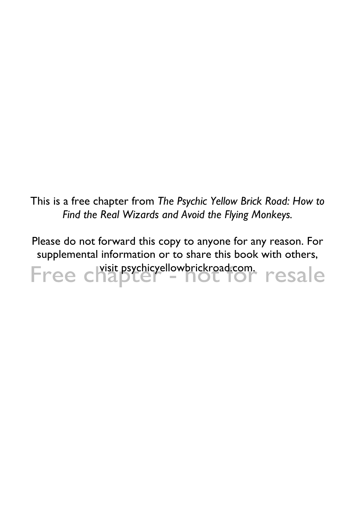This is a free chapter from *The Psychic Yellow Brick Road: How to Find the Real Wizards and Avoid the Flying Monkeys.*

Please do not forward this copy to anyone for any reason. For supplemental information or to share this book with others, Free chapter - not for resale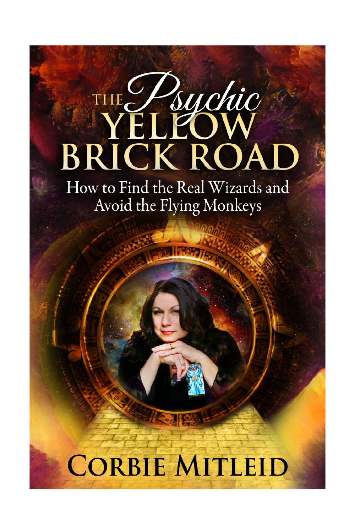# THE Psychic **BRICK ROA**

How to Find the Real Wizards and Avoid the Flying Monkeys

# **CORBIE MITLEID**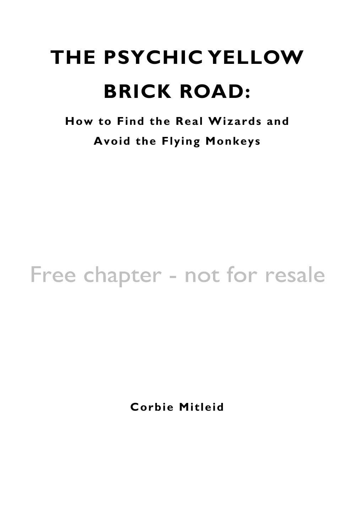# **THE PSYCHIC YELLOW BRICK ROAD:**

**How to Find the Real Wizards and Avoid the Flying Monkeys**

#### Free chapter - not for resale

**Corbie Mitleid**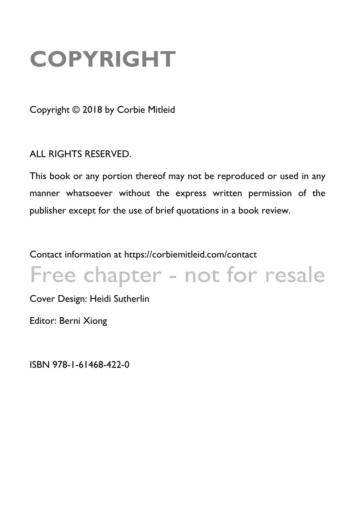## **COPYRIGHT**

Copyright © 2018 by Corbie Mitleid

ALL RIGHTS RESERVED.

This book or any portion thereof may not be reproduced or used in any manner whatsoever without the express written permission of the publisher except for the use of brief quotations in a book review.

Contact information at https://corbiemitleid.com/contact

#### Free chapter - not for resale

Cover Design: Heidi Sutherlin

Editor: Berni Xiong

ISBN 978-1-61468-422-0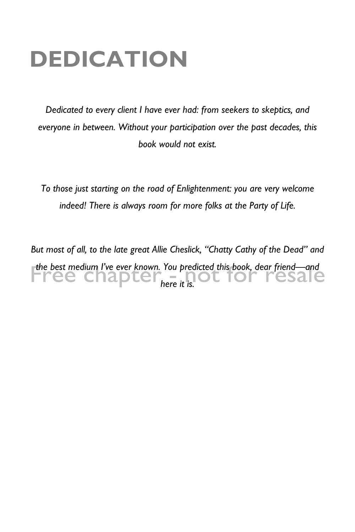#### **DEDICATION**

*Dedicated to every client I have ever had: from seekers to skeptics, and everyone in between. Without your participation over the past decades, this book would not exist.*

*To those just starting on the road of Enlightenment: you are very welcome indeed! There is always room for more folks at the Party of Life.*

*But most of all, to the late great Allie Cheslick, "Chatty Cathy of the Dead" and the best medium I've ever known. You predicted this book, dear friend—and*  **Free chapter**<sub>here it is.</sub> resare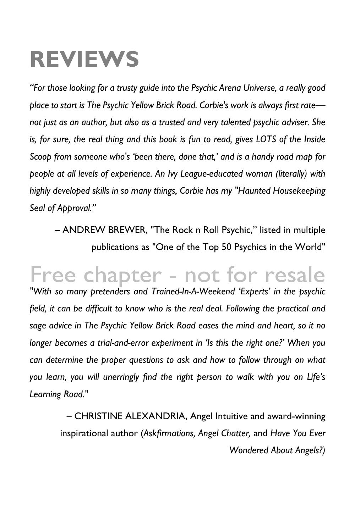#### **REVIEWS**

*"For those looking for a trusty guide into the Psychic Arena Universe, a really good place to start is The Psychic Yellow Brick Road. Corbie's work is always first rate not just as an author, but also as a trusted and very talented psychic adviser. She*  is, for sure, the real thing and this book is fun to read, gives LOTS of the Inside *Scoop from someone who's 'been there, done that,' and is a handy road map for people at all levels of experience. An Ivy League-educated woman (literally) with highly developed skills in so many things, Corbie has my "Haunted Housekeeping Seal of Approval."*

– ANDREW BREWER, "The Rock n Roll Psychic," listed in multiple publications as "One of the Top 50 Psychics in the World"

#### Free chapter - not for resale

*"With so many pretenders and Trained-In-A-Weekend 'Experts' in the psychic*  field, it can be difficult to know who is the real deal. Following the practical and *sage advice in The Psychic Yellow Brick Road eases the mind and heart, so it no longer becomes a trial-and-error experiment in 'Is this the right one?' When you can determine the proper questions to ask and how to follow through on what you learn, you will unerringly find the right person to walk with you on Life's Learning Road."*

– CHRISTINE ALEXANDRIA, Angel Intuitive and award-winning inspirational author (*Askfirmations, Angel Chatter,* and *Have You Ever Wondered About Angels?)*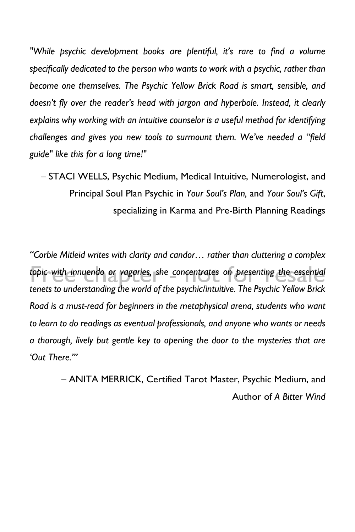*"While psychic development books are plentiful, it's rare to find a volume specifically dedicated to the person who wants to work with a psychic, rather than become one themselves. The Psychic Yellow Brick Road is smart, sensible, and doesn't fly over the reader's head with jargon and hyperbole. Instead, it clearly explains why working with an intuitive counselor is a useful method for identifying challenges and gives you new tools to surmount them. We've needed a "field guide" like this for a long time!"*

– STACI WELLS, Psychic Medium, Medical Intuitive, Numerologist, and Principal Soul Plan Psychic in *Your Soul's Plan,* and *Your Soul's Gift*, specializing in Karma and Pre-Birth Planning Readings

*"Corbie Mitleid writes with clarity and candor… rather than cluttering a complex*  topic with innuendo or vagaries, she concentrates on presenting the essential *tenets to understanding the world of the psychic/intuitive. The Psychic Yellow Brick Road is a must-read for beginners in the metaphysical arena, students who want to learn to do readings as eventual professionals, and anyone who wants or needs a thorough, lively but gentle key to opening the door to the mysteries that are 'Out There.'"*

> – ANITA MERRICK, Certified Tarot Master, Psychic Medium, and Author of *A Bitter Wind*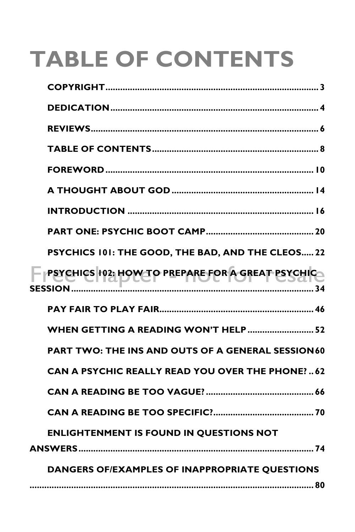# **TABLE OF CONTENTS**

| PSYCHICS 101: THE GOOD, THE BAD, AND THE CLEOS 22         |
|-----------------------------------------------------------|
| F PSYCHICS 102; HOWEO PREPARE FOR A GREAT PSYCHIC         |
|                                                           |
| WHEN GETTING A READING WON'T HELP 52                      |
| <b>PART TWO: THE INS AND OUTS OF A GENERAL SESSION 60</b> |
| <b>CAN A PSYCHIC REALLY READ YOU OVER THE PHONE?62</b>    |
|                                                           |
|                                                           |
| <b>ENLIGHTENMENT IS FOUND IN QUESTIONS NOT</b>            |
| DANGERS OF/EXAMPLES OF INAPPROPRIATE QUESTIONS            |
|                                                           |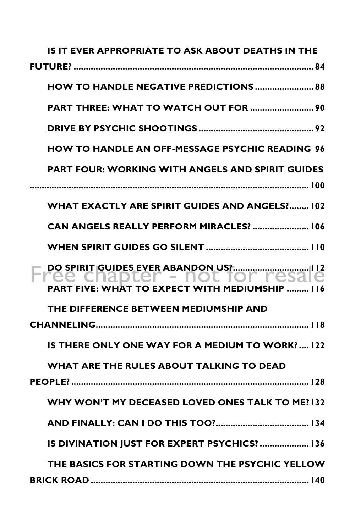| IS IT EVER APPROPRIATE TO ASK ABOUT DEATHS IN THE       |
|---------------------------------------------------------|
|                                                         |
| HOW TO HANDLE NEGATIVE PREDICTIONS  88                  |
| PART THREE: WHAT TO WATCH OUT FOR  90                   |
|                                                         |
| <b>HOW TO HANDLE AN OFF-MESSAGE PSYCHIC READING 96</b>  |
| <b>PART FOUR: WORKING WITH ANGELS AND SPIRIT GUIDES</b> |
| <b>WHAT EXACTLY ARE SPIRIT GUIDES AND ANGELS? 102</b>   |
| CAN ANGELS REALLY PERFORM MIRACLES?  106                |
|                                                         |
| <b>PART FIVE: WHAT TO EXPECT WITH MEDIUMSHIP  I</b>     |
| THE DIFFERENCE BETWEEN MEDIUMSHIP AND                   |
|                                                         |
| IS THERE ONLY ONE WAY FOR A MEDIUM TO WORK?  122        |
| WHAT ARE THE RULES ABOUT TALKING TO DEAD                |
|                                                         |
| WHY WON'T MY DECEASED LOVED ONES TALK TO ME?132         |
|                                                         |
| IS DIVINATION JUST FOR EXPERT PSYCHICS?  136            |
| THE BASICS FOR STARTING DOWN THE PSYCHIC YELLOW         |
|                                                         |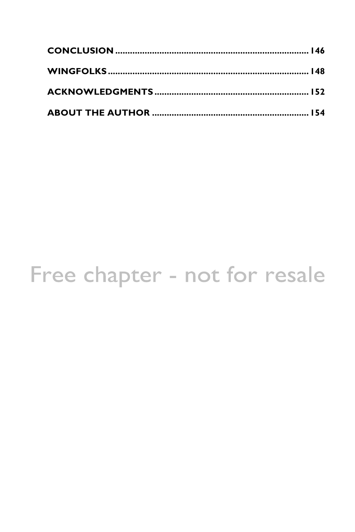#### Free chapter - not for resale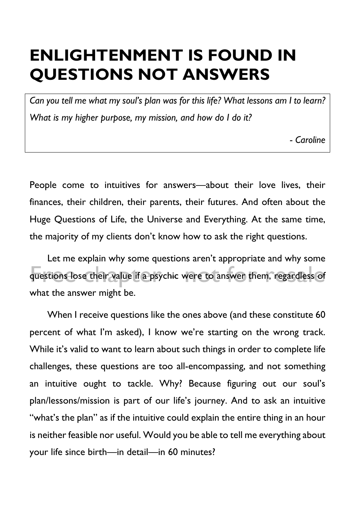#### **ENLIGHTENMENT IS FOUND IN QUESTIONS NOT ANSWERS**

*Can you tell me what my soul's plan was for this life? What lessons am I to learn? What is my higher purpose, my mission, and how do I do it?*

*- Caroline*

People come to intuitives for answers—about their love lives, their finances, their children, their parents, their futures. And often about the Huge Questions of Life, the Universe and Everything. At the same time, the majority of my clients don't know how to ask the right questions.

Let me explain why some questions aren't appropriate and why some questions lose their value if a psychic were to answer them, regardless of what the answer might be.

When I receive questions like the ones above (and these constitute 60 percent of what I'm asked), I know we're starting on the wrong track. While it's valid to want to learn about such things in order to complete life challenges, these questions are too all-encompassing, and not something an intuitive ought to tackle. Why? Because figuring out our soul's plan/lessons/mission is part of our life's journey. And to ask an intuitive "what's the plan" as if the intuitive could explain the entire thing in an hour is neither feasible nor useful. Would you be able to tell me everything about your life since birth—in detail—in 60 minutes?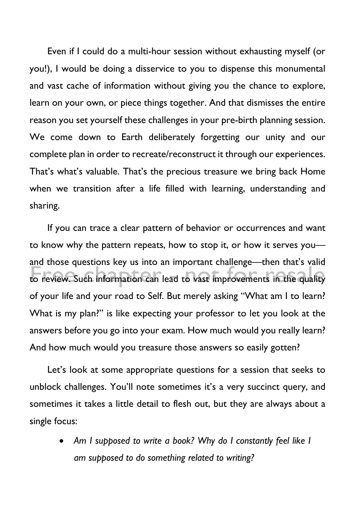Even if I could do a multi-hour session without exhausting myself (or you!), I would be doing a disservice to you to dispense this monumental and vast cache of information without giving you the chance to explore, learn on your own, or piece things together. And that dismisses the entire reason you set yourself these challenges in your pre-birth planning session. We come down to Earth deliberately forgetting our unity and our complete plan in order to recreate/reconstruct it through our experiences. That's what's valuable. That's the precious treasure we bring back Home when we transition after a life filled with learning, understanding and sharing.

If you can trace a clear pattern of behavior or occurrences and want to know why the pattern repeats, how to stop it, or how it serves you and those questions key us into an important challenge—then that's valid to review. Such information can lead to vast improvements in the quality of your life and your road to Self. But merely asking "What am I to learn? What is my plan?" is like expecting your professor to let you look at the answers before you go into your exam. How much would you really learn? And how much would you treasure those answers so easily gotten?

Let's look at some appropriate questions for a session that seeks to unblock challenges. You'll note sometimes it's a very succinct query, and sometimes it takes a little detail to flesh out, but they are always about a single focus:

> • *Am I supposed to write a book? Why do I constantly feel like I am supposed to do something related to writing?*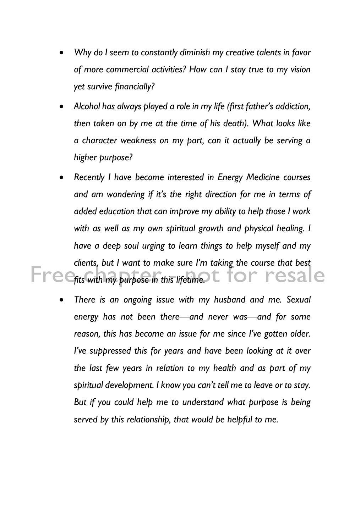- *Why do I seem to constantly diminish my creative talents in favor of more commercial activities? How can I stay true to my vision yet survive financially?*
- *Alcohol has always played a role in my life (first father's addiction, then taken on by me at the time of his death). What looks like a character weakness on my part, can it actually be serving a higher purpose?*
- *Recently I have become interested in Energy Medicine courses and am wondering if it's the right direction for me in terms of added education that can improve my ability to help those I work with as well as my own spiritual growth and physical healing. I have a deep soul urging to learn things to help myself and my clients, but I want to make sure I'm taking the course that best*  Free<sub>fits</sub> with my purpose in this lifetime t for resale
	- *There is an ongoing issue with my husband and me. Sexual energy has not been there—and never was—and for some reason, this has become an issue for me since I've gotten older. I've suppressed this for years and have been looking at it over the last few years in relation to my health and as part of my spiritual development. I know you can't tell me to leave or to stay. But if you could help me to understand what purpose is being served by this relationship, that would be helpful to me.*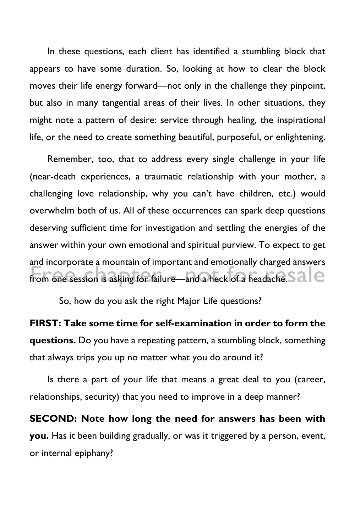In these questions, each client has identified a stumbling block that appears to have some duration. So, looking at how to clear the block moves their life energy forward—not only in the challenge they pinpoint, but also in many tangential areas of their lives. In other situations, they might note a pattern of desire: service through healing, the inspirational life, or the need to create something beautiful, purposeful, or enlightening.

Remember, too, that to address every single challenge in your life (near-death experiences, a traumatic relationship with your mother, a challenging love relationship, why you can't have children, etc.) would overwhelm both of us. All of these occurrences can spark deep questions deserving sufficient time for investigation and settling the energies of the answer within your own emotional and spiritual purview. To expect to get and incorporate a mountain of important and emotionally charged answers from one session is asking for failure—and a heck of a headache. S  $a$   $\epsilon$ 

So, how do you ask the right Major Life questions?

**FIRST: Take some time for self-examination in order to form the questions.** Do you have a repeating pattern, a stumbling block, something that always trips you up no matter what you do around it?

Is there a part of your life that means a great deal to you (career, relationships, security) that you need to improve in a deep manner?

**SECOND: Note how long the need for answers has been with you.** Has it been building gradually, or was it triggered by a person, event, or internal epiphany?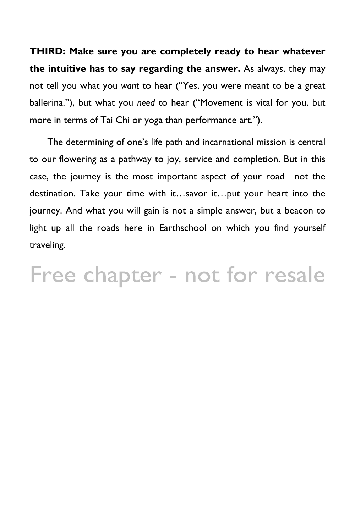**THIRD: Make sure you are completely ready to hear whatever the intuitive has to say regarding the answer.** As always, they may not tell you what you *want* to hear ("Yes, you were meant to be a great ballerina."), but what you *need* to hear ("Movement is vital for you, but more in terms of Tai Chi or yoga than performance art.").

The determining of one's life path and incarnational mission is central to our flowering as a pathway to joy, service and completion. But in this case, the journey is the most important aspect of your road—not the destination. Take your time with it…savor it…put your heart into the journey. And what you will gain is not a simple answer, but a beacon to light up all the roads here in Earthschool on which you find yourself traveling.

Free chapter - not for resale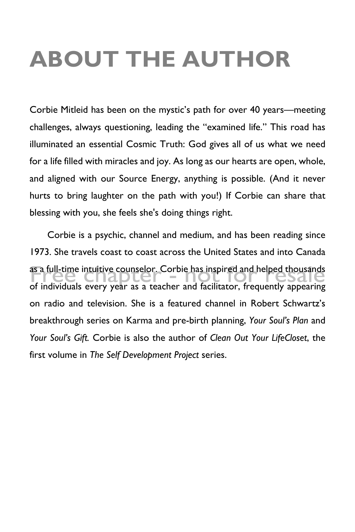## **ABOUT THE AUTHOR**

Corbie Mitleid has been on the mystic's path for over 40 years—meeting challenges, always questioning, leading the "examined life." This road has illuminated an essential Cosmic Truth: God gives all of us what we need for a life filled with miracles and joy. As long as our hearts are open, whole, and aligned with our Source Energy, anything is possible. (And it never hurts to bring laughter on the path with you!) If Corbie can share that blessing with you, she feels she's doing things right.

Corbie is a psychic, channel and medium, and has been reading since 1973. She travels coast to coast across the United States and into Canada as a full-time intuitive counselor. Corbie has inspired and helped thousands of individuals every year as a teacher and facilitator, frequently appearing on radio and television. She is a featured channel in Robert Schwartz's breakthrough series on Karma and pre-birth planning, *Your Soul's Plan* and *Your Soul's Gift.* Corbie is also the author of *Clean Out Your LifeCloset*, the first volume in *The Self Development Project* series.